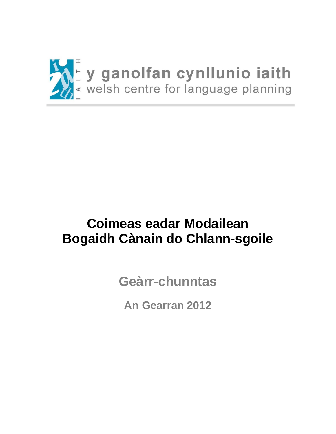

# **Coimeas eadar Modailean Bogaidh Cànain do Chlann-sgoile**

**Geàrr-chunntas**

**An Gearran 2012**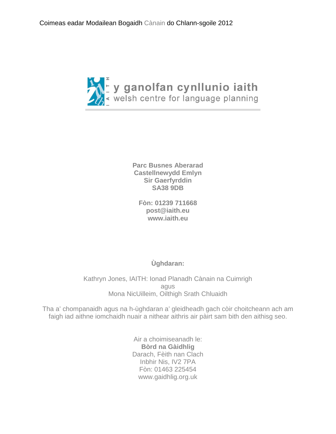

**Parc Busnes Aberarad Castellnewydd Emlyn Sir Gaerfyrddin SA38 9DB**

**Fòn: 01239 711668 [post@iaith.eu](mailto:post@iaith.eu) [www.iaith.eu](http://www.iaith.eu/)**

**Ùghdaran:**

Kathryn Jones, IAITH: Ionad Planadh Cànain na Cuimrigh agus Mona NicUilleim, Oilthigh Srath Chluaidh

Tha a' chompanaidh agus na h-ùghdaran a' gleidheadh gach còir choitcheann ach am faigh iad aithne iomchaidh nuair a nithear aithris air pàirt sam bith den aithisg seo.

> Air a choimiseanadh le: **Bòrd na Gàidhlig** Darach, Fèith nan Clach Inbhir Nis, IV2 7PA Fòn: 01463 225454 www.gaidhlig.org.uk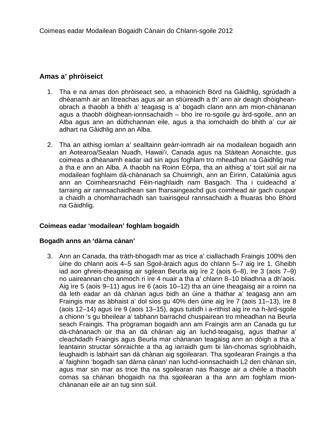# **Amas a' phròiseict**

- 1. Tha e na amas don phròiseact seo, a mhaoinich Bòrd na Gàidhlig, sgrùdadh a dhèanamh air an litreachas agus air an stiùireadh a th' ann air deagh dhòigheanobrach a thaobh a bhith a' teagasg is a' bogadh clann ann am mion-chànanan agus a thaobh dòighean-ionnsachaidh – bho ìre ro-sgoile gu àrd-sgoile, ann an Alba agus ann an dùthchannan eile, agus a tha iomchaidh do bhith a' cur air adhart na Gàidhlig ann an Alba.
- 2. Tha an aithisg iomlan a' sealltainn geàrr-iomradh air na modailean bogaidh ann an Aotearoa/Sealan Nuadh, Hawai'i, Canada agus na Stàitean Aonaichte, gus coimeas a dhèanamh eadar iad sin agus foghlam tro mheadhan na Gàidhlig mar a tha e ann an Alba. A thaobh na Roinn Eòrpa, tha an aithisg a' toirt sùil air na modailean foghlaim dà-chànanach sa Chuimrigh, ann an Èirinn, Catalùinia agus ann an Coimhearsnachd Fèin-riaghlaidh nam Basgach. Tha i cuideachd a' tarraing air rannsachaidhean san fharsaingeachd gus coimhead air gach cuspair a chaidh a chomharrachadh san tuairisgeul rannsachaidh a fhuaras bho Bhòrd na Gàidhlig.

# **Coimeas eadar 'modailean' foghlam bogaidh**

#### **Bogadh anns an 'dàrna cànan'**

3. Ann an Canada, tha tràth-bhogadh mar as trice a' ciallachadh Fraingis 100% den ùine do chlann aois 4–5 san Sgoil-àraich agus do chlann 5–7 aig ìre 1. Gheibh iad aon ghreis-theagaisg air sgilean Beurla aig ìre 2 (aois 6–8), ìre 3 (aois 7–9) no uaireannan cho anmoch ri ìre 4 nuair a tha a' chlann 8–10 bliadhna a dh'aois. Aig ìre 5 (aois 9–11) agus ìre 6 (aois 10–12) tha an ùine theagaisg air a roinn na dà leth eadar an dà chànan agus bidh an ùine a thathar a' teagasg ann am Fraingis mar as àbhaist a' dol sìos gu 40% den ùine aig ìre 7 (aois 11–13), ìre 8 (aois 12–14) agus ìre 9 (aois 13–15), agus tuitidh i a-rithist aig ìre na h-àrd-sgoile a chionn 's gu bheilear a' tabhann barrachd chuspairean tro mheadhan na Beurla seach Fraingis. Tha prògraman bogaidh ann am Fraingis ann an Canada gu tur dà-chànanach oir tha an dà chànan aig an luchd-teagaisg, agus thathar a' cleachdadh Fraingis agus Beurla mar chànanan teagaisg ann an dòigh a tha a' leantainn structar sònraichte a tha ag iarraidh gum bi làn-chomas sgrìobhaidh, leughaidh is labhairt san dà chànan aig sgoilearan. Tha sgoilearan Fraingis a tha a' faighinn 'bogadh san dàrna cànan' nan luchd-ionnsachaidh L2 den chànan sin, agus mar sin mar as trice tha na sgoilearan nas fhaisge air a chèile a thaobh comas sa chànan bhogaidh na tha sgoilearan a tha ann am foghlam mionchànanan eile air an tug sinn sùil.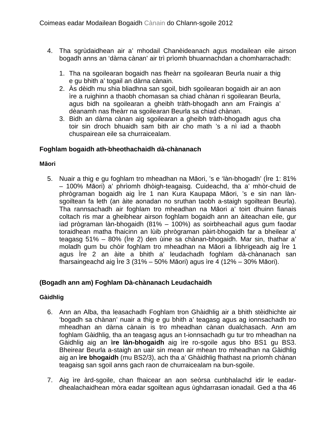- 4. Tha sgrùdaidhean air a' mhodail Chanèideanach agus modailean eile airson bogadh anns an 'dàrna cànan' air trì prìomh bhuannachdan a chomharrachadh:
	- 1. Tha na sgoilearan bogaidh nas fheàrr na sgoilearan Beurla nuair a thig e gu bhith a' togail an dàrna cànain.
	- 2. Às dèidh mu shia bliadhna san sgoil, bidh sgoilearan bogaidh air an aon ìre a ruighinn a thaobh chomasan sa chiad chànan ri sgoilearan Beurla, agus bidh na sgoilearan a gheibh tràth-bhogadh ann am Fraingis a' dèanamh nas fheàrr na sgoilearan Beurla sa chiad chànan.
	- 3. Bidh an dàrna cànan aig sgoilearan a gheibh tràth-bhogadh agus cha toir sin droch bhuaidh sam bith air cho math 's a nì iad a thaobh chuspairean eile sa churraicealam.

# **Foghlam bogaidh ath-bheothachaidh dà-chànanach**

## **Māori**

5. Nuair a thig e gu foghlam tro mheadhan na Māori, 's e 'làn-bhogadh' (Ìre 1: 81% – 100% Māori) a' phrìomh dhòigh-teagaisg. Cuideachd, tha a' mhòr-chuid de phrògraman bogaidh aig Ìre 1 nan Kura Kaupapa Māori, 's e sin nan lànsgoiltean fa leth (an àite aonadan no sruthan taobh a-staigh sgoiltean Beurla). Tha rannsachadh air foghlam tro mheadhan na Māori a' toirt dhuinn fianais coltach ris mar a gheibhear airson foghlam bogaidh ann an àiteachan eile, gur iad prògraman làn-bhogaidh (81% – 100%) as soirbheachail agus gum faodar toraidhean matha fhaicinn an lùib phrògraman pàirt-bhogaidh far a bheilear a' teagasg 51% – 80% (Ìre 2) den ùine sa chànan-bhogaidh. Mar sin, thathar a' moladh gum bu chòir foghlam tro mheadhan na Māori a lìbhrigeadh aig Ìre 1 agus Ìre 2 an àite a bhith a' leudachadh foghlam dà-chànanach san fharsaingeachd aig Ìre 3 (31% – 50% Māori) agus ìre 4 (12% – 30% Māori).

# **(Bogadh ann am) Foghlam Dà-chànanach Leudachaidh**

# **Gàidhlig**

- 6. Ann an Alba, tha leasachadh Foghlam tron Ghàidhlig air a bhith stèidhichte air 'bogadh sa chànan' nuair a thig e gu bhith a' teagasg agus ag ionnsachadh tro mheadhan an dàrna cànain is tro mheadhan cànan dualchasach. Ann am foghlam Gàidhlig, tha an teagasg agus an t-ionnsachadh gu tur tro mheadhan na Gàidhlig aig an **ìre làn-bhogaidh** aig ìre ro-sgoile agus bho BS1 gu BS3. Bheirear Beurla a-staigh an uair sin mean air mhean tro mheadhan na Gàidhlig aig an **ìre bhogaidh** (mu BS2/3), ach tha a' Ghàidhlig fhathast na prìomh chànan teagaisg san sgoil anns gach raon de churraicealam na bun-sgoile.
- 7. Aig ìre àrd-sgoile, chan fhaicear an aon seòrsa cunbhalachd idir le eadardhealachaidhean mòra eadar sgoiltean agus ùghdarrasan ionadail. Ged a tha 46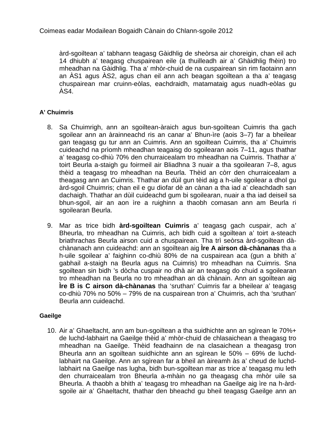àrd-sgoiltean a' tabhann teagasg Gàidhlig de sheòrsa air choreigin, chan eil ach 14 dhiubh a' teagasg chuspairean eile (a thuilleadh air a' Ghàidhlig fhèin) tro mheadhan na Gàidhlig. Tha a' mhòr-chuid de na cuspairean sin rim faotainn ann an ÀS1 agus ÀS2, agus chan eil ann ach beagan sgoiltean a tha a' teagasg chuspairean mar cruinn-eòlas, eachdraidh, matamataig agus nuadh-eòlas gu ÀS4.

# **A' Chuimris**

- 8. Sa Chuimrigh, ann an sgoiltean-àraich agus bun-sgoiltean Cuimris tha gach sgoilear ann an àrainneachd ris an canar a' Bhun-ìre (aois 3–7) far a bheilear gan teagasg gu tur ann an Cuimris. Ann an sgoiltean Cuimris, tha a' Chuimris cuideachd na prìomh mheadhan teagaisg do sgoilearan aois 7–11, agus thathar a' teagasg co-dhiù 70% den churraicealam tro mheadhan na Cuimris. Thathar a' toirt Beurla a-staigh gu foirmeil air Bliadhna 3 nuair a tha sgoilearan 7–8, agus thèid a teagasg tro mheadhan na Beurla. Thèid an còrr den churraicealam a theagasg ann an Cuimris. Thathar an dùil gun tèid aig a h-uile sgoilear a dhol gu àrd-sgoil Chuimris; chan eil e gu diofar dè an cànan a tha iad a' cleachdadh san dachaigh. Thathar an dùil cuideachd gum bi sgoilearan, nuair a tha iad deiseil sa bhun-sgoil, air an aon ìre a ruighinn a thaobh comasan ann am Beurla ri sgoilearan Beurla.
- 9. Mar as trice bidh **àrd-sgoiltean Cuimris** a' teagasg gach cuspair, ach a' Bheurla, tro mheadhan na Cuimris, ach bidh cuid a sgoiltean a' toirt a-steach briathrachas Beurla airson cuid a chuspairean. Tha trì seòrsa àrd-sgoiltean dàchànanach ann cuideachd: ann an sgoiltean aig **Ìre A airson dà-chànanas** tha a h-uile sgoilear a' faighinn co-dhiù 80% de na cuspairean aca (gun a bhith a' gabhail a-staigh na Beurla agus na Cuimris) tro mheadhan na Cuimris. Sna sgoiltean sin bidh 's dòcha cuspair no dhà air an teagasg do chuid a sgoilearan tro mheadhan na Beurla no tro mheadhan an dà chànain. Ann an sgoiltean aig **Ìre B is C airson dà-chànanas** tha 'sruthan' Cuimris far a bheilear a' teagasg co-dhiù 70% no 50% – 79% de na cuspairean tron a' Chuimris, ach tha 'sruthan' Beurla ann cuideachd.

# **Gaeilge**

10. Air a' Ghaeltacht, ann am bun-sgoiltean a tha suidhichte ann an sgìrean le 70%+ de luchd-labhairt na Gaeilge thèid a' mhòr-chuid de chlasaichean a theagasg tro mheadhan na Gaeilge. Thèid feadhainn de na clasaichean a theagasg tron Bheurla ann an sgoiltean suidhichte ann an sgìrean le 50% – 69% de luchdlabhairt na Gaeilge. Ann an sgìrean far a bheil an àireamh às a' cheud de luchdlabhairt na Gaeilge nas lugha, bidh bun-sgoiltean mar as trice a' teagasg mu leth den churraicealam tron Bheurla a-mhàin no ga theagasg cha mhòr uile sa Bheurla. A thaobh a bhith a' teagasg tro mheadhan na Gaeilge aig ìre na h-àrdsgoile air a' Ghaeltacht, thathar den bheachd gu bheil teagasg Gaeilge ann an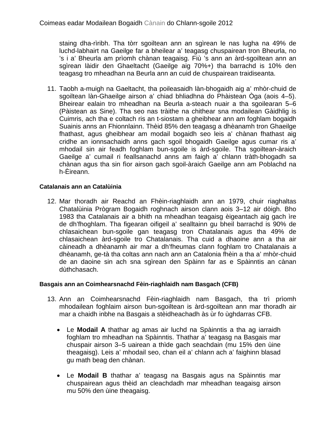staing dha-rìribh. Tha tòrr sgoiltean ann an sgìrean le nas lugha na 49% de luchd-labhairt na Gaeilge far a bheilear a' teagasg chuspairean tron Bheurla, no 's i a' Bheurla am prìomh chànan teagaisg. Fiù 's ann an àrd-sgoiltean ann an sgìrean làidir den Ghaeltacht (Gaeilge aig 70%+) tha barrachd is 10% den teagasg tro mheadhan na Beurla ann an cuid de chuspairean traidiseanta.

11. Taobh a-muigh na Gaeltacht, tha poileasaidh làn-bhogaidh aig a' mhòr-chuid de sgoiltean làn-Ghaeilge airson a' chiad bhliadhna do Phàistean Òga (aois 4–5). Bheirear ealain tro mheadhan na Beurla a-steach nuair a tha sgoilearan 5–6 (Pàistean as Sine). Tha seo nas tràithe na chithear sna modailean Gàidhlig is Cuimris, ach tha e coltach ris an t-siostam a gheibhear ann am foghlam bogaidh Suainis anns an Fhionnlainn. Thèid 85% den teagasg a dhèanamh tron Ghaeilge fhathast, agus gheibhear am modail bogaidh seo leis a' chànan fhathast aig cridhe an ionnsachaidh anns gach sgoil bhogaidh Gaeilge agus cumar ris a' mhodail sin air feadh foghlam bun-sgoile is àrd-sgoile. Tha sgoiltean-àraich Gaeilge a' cumail ri feallsanachd anns am faigh a' chlann tràth-bhogadh sa chànan agus tha sin fìor airson gach sgoil-àraich Gaeilge ann am Poblachd na h-Èireann.

# **Catalanais ann an Catalùinia**

12. Mar thoradh air Reachd an Fhèin-riaghlaidh ann an 1979, chuir riaghaltas Chatalùinia Prògram Bogaidh roghnach airson clann aois 3–12 air dòigh. Bho 1983 tha Catalanais air a bhith na mheadhan teagaisg èigeantach aig gach ìre de dh'fhoghlam. Tha figearan oifigeil a' sealltainn gu bheil barrachd is 90% de chlasaichean bun-sgoile gan teagasg tron Chatalanais agus tha 49% de chlasaichean àrd-sgoile tro Chatalanais. Tha cuid a dhaoine ann a tha air càineadh a dhèanamh air mar a dh'fheumas clann foghlam tro Chatalanais a dhèanamh, ge-tà tha coltas ann nach ann an Catalonia fhèin a tha a' mhòr-chuid de an daoine sin ach sna sgìrean den Spàinn far as e Spàinntis an cànan dùthchasach.

# **Basgais ann an Coimhearsnachd Fèin-riaghlaidh nam Basgach (CFB)**

- 13. Ann an Coimhearsnachd Fèin-riaghlaidh nam Basgach, tha trì prìomh mhodailean foghlaim airson bun-sgoiltean is àrd-sgoiltean ann mar thoradh air mar a chaidh inbhe na Basgais a stèidheachadh às ùr fo ùghdarras CFB.
	- Le **Modail A** thathar ag amas air luchd na Spàinntis a tha ag iarraidh foghlam tro mheadhan na Spàinntis. Thathar a' teagasg na Basgais mar chuspair airson 3–5 uairean a thìde gach seachdain (mu 15% den ùine theagaisg). Leis a' mhodail seo, chan eil a' chlann ach a' faighinn blasad gu math beag den chànan.
	- Le **Modail B** thathar a' teagasg na Basgais agus na Spàinntis mar chuspairean agus thèid an cleachdadh mar mheadhan teagaisg airson mu 50% den ùine theagaisg.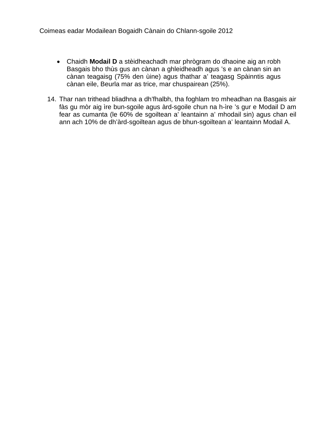- Chaidh **Modail D** a stèidheachadh mar phrògram do dhaoine aig an robh Basgais bho thùs gus an cànan a ghleidheadh agus 's e an cànan sin an cànan teagaisg (75% den ùine) agus thathar a' teagasg Spàinntis agus cànan eile, Beurla mar as trice, mar chuspairean (25%).
- 14. Thar nan trithead bliadhna a dh'fhalbh, tha foghlam tro mheadhan na Basgais air fàs gu mòr aig ìre bun-sgoile agus àrd-sgoile chun na h-ìre 's gur e Modail D am fear as cumanta (le 60% de sgoiltean a' leantainn a' mhodail sin) agus chan eil ann ach 10% de dh'àrd-sgoiltean agus de bhun-sgoiltean a' leantainn Modail A.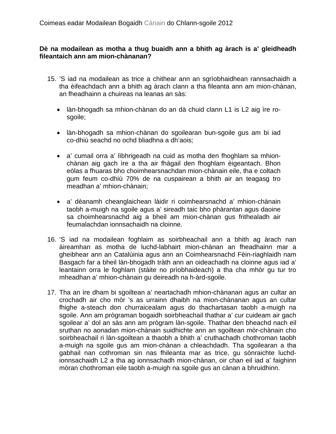# **Dè na modailean as motha a thug buaidh ann a bhith ag àrach is a' gleidheadh fileantaich ann am mion-chànanan?**

- 15. 'S iad na modailean as trice a chithear ann an sgrìobhaidhean rannsachaidh a tha èifeachdach ann a bhith ag àrach clann a tha fileanta ann am mion-chànan, an fheadhainn a chuireas na leanas an sàs:
	- làn-bhogadh sa mhion-chànan do an dà chuid clann L1 is L2 aig ìre rosgoile;
	- làn-bhogadh sa mhion-chànan do sgoilearan bun-sgoile gus am bi iad co-dhiù seachd no ochd bliadhna a dh'aois;
	- a' cumail orra a' lìbhrigeadh na cuid as motha den fhoghlam sa mhionchànan aig gach ìre a tha air fhàgail den fhoghlam èigeantach. Bhon eòlas a fhuaras bho choimhearsnachdan mion-chànain eile, tha e coltach gum feum co-dhiù 70% de na cuspairean a bhith air an teagasg tro meadhan a' mhion-chànain;
	- a' dèanamh cheanglaichean làidir ri coimhearsnachd a' mhion-chànain taobh a-muigh na sgoile agus a' sireadh taic bho phàrantan agus daoine sa choimhearsnachd aig a bheil am mion-chànan gus frithealadh air feumalachdan ionnsachaidh na cloinne.
- 16. 'S iad na modailean foghlaim as soirbheachail ann a bhith ag àrach nan àireamhan as motha de luchd-labhairt mion-chànan an fheadhainn mar a gheibhear ann an Catalùinia agus ann an Coimhearsnachd Fèin-riaghlaidh nam Basgach far a bheil làn-bhogadh tràth ann an oideachadh na cloinne agus iad a' leantainn orra le foghlam (stàite no prìobhaideach) a tha cha mhòr gu tur tro mheadhan a' mhion-chànain gu deireadh na h-àrd-sgoile.
- 17. Tha an ìre dham bi sgoiltean a' neartachadh mhion-chànanan agus an cultar an crochadh air cho mòr 's as urrainn dhaibh na mion-chànanan agus an cultar fhighe a-steach don churraicealam agus do thachartasan taobh a-muigh na sgoile. Ann am prògraman bogaidh soirbheachail thathar a' cur cuideam air gach sgoilear a' dol an sàs ann am prògram làn-sgoile. Thathar den bheachd nach eil sruthan no aonadan mion-chànain suidhichte ann an sgoiltean mòr-chànain cho soirbheachail ri làn-sgoiltean a thaobh a bhith a' cruthachadh chothroman taobh a-muigh na sgoile gus am mion-chànan a chleachdadh. Tha sgoilearan a tha gabhail nan cothroman sin nas fhileanta mar as trice, gu sònraichte luchdionnsachaidh L2 a tha ag ionnsachadh mion-chànan, oir chan eil iad a' faighinn mòran chothroman eile taobh a-muigh na sgoile gus an cànan a bhruidhinn.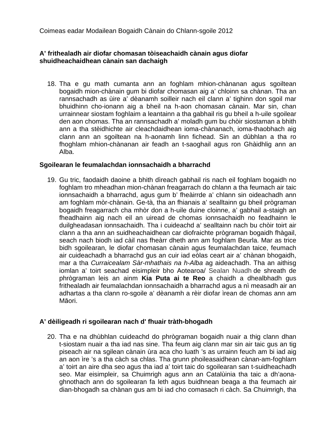Coimeas eadar Modailean Bogaidh Cànain do Chlann-sgoile 2012

# **A' frithealadh air diofar chomasan tòiseachaidh cànain agus diofar shuidheachaidhean cànain san dachaigh**

18. Tha e gu math cumanta ann an foghlam mhion-chànanan agus sgoiltean bogaidh mion-chànain gum bi diofar chomasan aig a' chloinn sa chànan. Tha an rannsachadh as ùire a' dèanamh soilleir nach eil clann a' tighinn don sgoil mar bhuidhinn cho-ionann aig a bheil na h-aon chomasan cànain. Mar sin, chan urrainnear siostam foghlaim a leantainn a tha gabhail ris gu bheil a h-uile sgoilear den aon chomas. Tha an rannsachadh a' moladh gum bu chòir siostaman a bhith ann a tha stèidhichte air cleachdaidhean ioma-chànanach, ioma-thaobhach aig clann ann an sgoiltean na h-aonamh linn fichead. Sin an dùbhlan a tha ro fhoghlam mhion-chànanan air feadh an t-saoghail agus ron Ghàidhlig ann an Alba.

# **Sgoilearan le feumalachdan ionnsachaidh a bharrachd**

19. Gu tric, faodaidh daoine a bhith dìreach gabhail ris nach eil foghlam bogaidh no foghlam tro mheadhan mion-chànan freagarrach do chlann a tha feumach air taic ionnsachaidh a bharrachd, agus gum b' fheàirrde a' chlann sin oideachadh ann am foghlam mòr-chànain. Ge-tà, tha an fhianais a' sealltainn gu bheil prògraman bogaidh freagarrach cha mhòr don a h-uile duine cloinne, a' gabhail a-staigh an fheadhainn aig nach eil an uiread de chomas ionnsachaidh no feadhainn le duilgheadasan ionnsachaidh. Tha i cuideachd a' sealltainn nach bu chòir toirt air clann a tha ann an suidheachaidhean car diofraichte prògraman bogaidh fhàgail, seach nach biodh iad càil nas fheàrr dheth ann am foghlam Beurla. Mar as trice bidh sgoilearan, le diofar chomasan cànain agus feumalachdan taice, feumach air cuideachadh a bharrachd gus an cuir iad eòlas ceart air a' chànan bhogaidh, mar a tha *Curraicealam Sàr-mhathais na h-Alba* ag aideachadh. Tha an aithisg iomlan a' toirt seachad eisimpleir bho Aotearoa/ Sealan Nuadh de shreath de phrògraman leis an ainm **Kia Puta ai te Reo** a chaidh a dhealbhadh gus frithealadh air feumalachdan ionnsachaidh a bharrachd agus a nì measadh air an adhartas a tha clann ro-sgoile a' dèanamh a rèir diofar ìrean de chomas ann am Māori.

# **A' dèiligeadh ri sgoilearan nach d' fhuair tràth-bhogadh**

20. Tha e na dhùbhlan cuideachd do phrògraman bogaidh nuair a thig clann dhan t-siostam nuair a tha iad nas sine. Tha feum aig clann mar sin air taic gus an tig piseach air na sgilean cànain ùra aca cho luath 's as urrainn feuch am bi iad aig an aon ìre 's a tha càch sa chlas. Tha grunn phoileasaidhean cànan-am-foghlam a' toirt an aire dha seo agus tha iad a' toirt taic do sgoilearan san t-suidheachadh seo. Mar eisimpleir, sa Chuimrigh agus ann an Catalùinia tha taic a dh'aonaghnothach ann do sgoilearan fa leth agus buidhnean beaga a tha feumach air dian-bhogadh sa chànan gus am bi iad cho comasach ri càch. Sa Chuimrigh, tha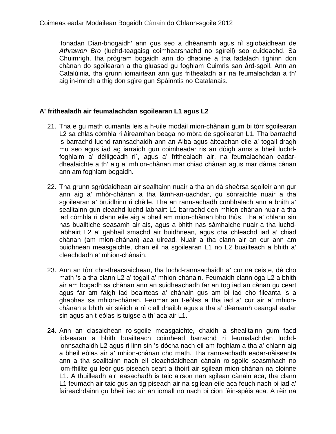'Ionadan Dian-bhogaidh' ann gus seo a dhèanamh agus nì sgiobaidhean de *Athrawon Bro* (luchd-teagaisg coimhearsnachd no sgìreil) seo cuideachd. Sa Chuimrigh, tha prògram bogaidh ann do dhaoine a tha fadalach tighinn don chànan do sgoilearan a tha gluasad gu foghlam Cuimris san àrd-sgoil. Ann an Catalùinia, tha grunn iomairtean ann gus frithealadh air na feumalachdan a th' aig in-imrich a thig don sgìre gun Spàinntis no Catalanais.

# **A' frithealadh air feumalachdan sgoilearan L1 agus L2**

- 21. Tha e gu math cumanta leis a h-uile modail mion-chànain gum bi tòrr sgoilearan L2 sa chlas còmhla ri àireamhan beaga no mòra de sgoilearan L1. Tha barrachd is barrachd luchd-rannsachaidh ann an Alba agus àiteachan eile a' togail dragh mu seo agus iad ag iarraidh gun coimheadar ris an dòigh anns a bheil luchdfoghlaim a' dèiligeadh ri`, agus a' frithealadh air, na feumalachdan eadardhealaichte a th' aig a' mhion-chànan mar chiad chànan agus mar dàrna cànan ann am foghlam bogaidh.
- 22. Tha grunn sgrùdaidhean air sealltainn nuair a tha an dà sheòrsa sgoileir ann gur ann aig a' mhòr-chànan a tha làmh-an-uachdar, gu sònraichte nuair a tha sgoilearan a' bruidhinn ri chèile. Tha an rannsachadh cunbhalach ann a bhith a' sealltainn gun cleachd luchd-labhairt L1 barrachd den mhion-chànan nuair a tha iad còmhla ri clann eile aig a bheil am mion-chànan bho thùs. Tha a' chlann sin nas buailtiche seasamh air ais, agus a bhith nas sàmhaiche nuair a tha luchdlabhairt L2 a' gabhail smachd air buidhnean, agus cha chleachd iad a' chiad chànan (am mion-chànan) aca uiread. Nuair a tha clann air an cur ann am buidhnean measgaichte, chan eil na sgoilearan L1 no L2 buailteach a bhith a' cleachdadh a' mhion-chànain.
- 23. Ann an tòrr cho-theacsaichean, tha luchd-rannsachaidh a' cur na ceiste, dè cho math 's a tha clann L2 a' togail a' mhion-chànain. Feumaidh clann òga L2 a bhith air am bogadh sa chànan ann an suidheachadh far an tog iad an cànan gu ceart agus far am faigh iad beairteas a' chànain gus am bi iad cho fileanta 's a ghabhas sa mhion-chànan. Feumar an t-eòlas a tha iad a' cur air a' mhionchànan a bhith air stèidh a nì ciall dhaibh agus a tha a' dèanamh ceangal eadar sin agus an t-eòlas is tuigse a th' aca air L1.
- 24. Ann an clasaichean ro-sgoile measgaichte, chaidh a shealltainn gum faod tidsearan a bhith buailteach coimhead barrachd ri feumalachdan luchdionnsachaidh L2 agus ri linn sin 's dòcha nach eil am foghlam a tha a' chlann aig a bheil eòlas air a' mhion-chànan cho math. Tha rannsachadh eadar-nàiseanta ann a tha sealltainn nach eil cleachdaidhean cànain ro-sgoile seasmhach no iom-fhillte gu leòr gus piseach ceart a thoirt air sgilean mion-chànan na cloinne L1. A thuilleadh air leasachadh is taic airson nan sgilean cànain aca, tha clann L1 feumach air taic gus an tig piseach air na sgilean eile aca feuch nach bi iad a' faireachdainn gu bheil iad air an iomall no nach bi cion fèin-spèis aca. A rèir na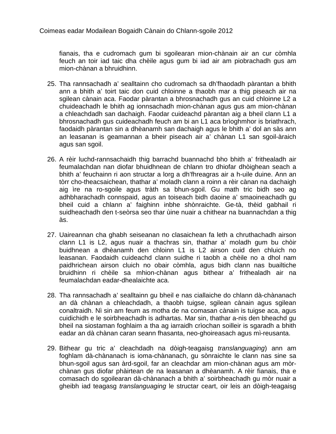fianais, tha e cudromach gum bi sgoilearan mion-chànain air an cur còmhla feuch an toir iad taic dha chèile agus gum bi iad air am piobrachadh gus am mion-chànan a bhruidhinn.

- 25. Tha rannsachadh a' sealltainn cho cudromach sa dh'fhaodadh pàrantan a bhith ann a bhith a' toirt taic don cuid chloinne a thaobh mar a thig piseach air na sgilean cànain aca. Faodar pàrantan a bhrosnachadh gus an cuid chloinne L2 a chuideachadh le bhith ag ionnsachadh mion-chànan agus gus am mion-chànan a chleachdadh san dachaigh. Faodar cuideachd pàrantan aig a bheil clann L1 a bhrosnachadh gus cuideachadh feuch am bi an L1 aca brìoghmhor is briathrach, faodaidh pàrantan sin a dhèanamh san dachaigh agus le bhith a' dol an sàs ann an leasanan is geamannan a bheir piseach air a' chànan L1 san sgoil-àraich agus san sgoil.
- 26. A rèir luchd-rannsachaidh thig barrachd buannachd bho bhith a' frithealadh air feumalachdan nan diofar bhuidhnean de chlann tro dhiofar dhòighean seach a bhith a' feuchainn ri aon structar a lorg a dh'fhreagras air a h-uile duine. Ann an tòrr cho-theacsaichean, thathar a' moladh clann a roinn a rèir cànan na dachaigh aig ìre na ro-sgoile agus tràth sa bhun-sgoil. Gu math tric bidh seo ag adhbharachadh connspaid, agus an toiseach bidh daoine a' smaoineachadh gu bheil cuid a chlann a' faighinn inbhe shònraichte. Ge-tà, thèid gabhail ri suidheachadh den t-seòrsa seo thar ùine nuair a chithear na buannachdan a thig às.
- 27. Uaireannan cha ghabh seiseanan no clasaichean fa leth a chruthachadh airson clann L1 is L2, agus nuair a thachras sin, thathar a' moladh gum bu chòir buidhnean a dhèanamh den chloinn L1 is L2 airson cuid den chluich no leasanan. Faodaidh cuideachd clann suidhe ri taobh a chèile no a dhol nam paidhrichean airson cluich no obair còmhla, agus bidh clann nas buailtiche bruidhinn ri chèile sa mhion-chànan agus bithear a' frithealadh air na feumalachdan eadar-dhealaichte aca.
- 28. Tha rannsachadh a' sealltainn gu bheil e nas ciallaiche do chlann dà-chànanach an dà chànan a chleachdadh, a thaobh tuigse, sgilean cànain agus sgilean conaltraidh. Nì sin am feum as motha de na comasan cànain is tuigse aca, agus cuidichidh e le soirbheachadh is adhartas. Mar sin, thathar a-nis den bheachd gu bheil na siostaman foghlaim a tha ag iarraidh crìochan soilleir is sgaradh a bhith eadar an dà chànan caran seann fhasanta, neo-ghoireasach agus mì-reusanta.
- 29. Bithear gu tric a' cleachdadh na dòigh-teagaisg *translanguaging*) ann am foghlam dà-chànanach is ioma-chànanach, gu sònraichte le clann nas sine sa bhun-sgoil agus san àrd-sgoil, far an cleachdar am mion-chànan agus am mòrchànan gus diofar phàirtean de na leasanan a dhèanamh. A rèir fianais, tha e comasach do sgoilearan dà-chànanach a bhith a' soirbheachadh gu mòr nuair a gheibh iad teagasg *translanguaging* le structar ceart, oir leis an dòigh-teagaisg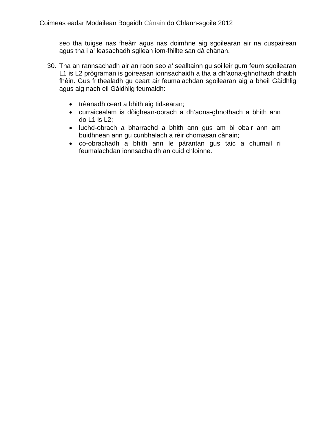seo tha tuigse nas fheàrr agus nas doimhne aig sgoilearan air na cuspairean agus tha i a' leasachadh sgilean iom-fhillte san dà chànan.

- 30. Tha an rannsachadh air an raon seo a' sealltainn gu soilleir gum feum sgoilearan L1 is L2 prògraman is goireasan ionnsachaidh a tha a dh'aona-ghnothach dhaibh fhèin. Gus frithealadh gu ceart air feumalachdan sgoilearan aig a bheil Gàidhlig agus aig nach eil Gàidhlig feumaidh:
	- trèanadh ceart a bhith aig tidsearan;
	- curraicealam is dòighean-obrach a dh'aona-ghnothach a bhith ann do L1 is L2;
	- luchd-obrach a bharrachd a bhith ann gus am bi obair ann am buidhnean ann gu cunbhalach a rèir chomasan cànain;
	- co-obrachadh a bhith ann le pàrantan gus taic a chumail ri feumalachdan ionnsachaidh an cuid chloinne.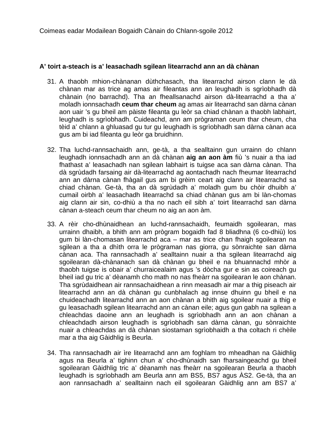## **A' toirt a-steach is a' leasachadh sgilean litearrachd ann an dà chànan**

- 31. A thaobh mhion-chànanan dùthchasach, tha litearrachd airson clann le dà chànan mar as trice ag amas air fileantas ann an leughadh is sgrìobhadh dà chànain (no barrachd). Tha an fheallsanachd airson dà-litearrachd a tha a' moladh ionnsachadh **ceum thar cheum** ag amas air litearrachd san dàrna cànan aon uair 's gu bheil am pàiste fileanta gu leòr sa chiad chànan a thaobh labhairt, leughadh is sgrìobhadh. Cuideachd, ann am prògraman ceum thar cheum, cha tèid a' chlann a ghluasad gu tur gu leughadh is sgrìobhadh san dàrna cànan aca gus am bi iad fileanta gu leòr ga bruidhinn.
- 32. Tha luchd-rannsachaidh ann, ge-tà, a tha sealltainn gun urrainn do chlann leughadh ionnsachadh ann an dà chànan **aig an aon àm** fiù 's nuair a tha iad fhathast a' leasachadh nan sgilean labhairt is tuigse aca san dàrna cànan. Tha dà sgrùdadh farsaing air dà-litearrachd ag aontachadh nach fheumar litearrachd ann an dàrna cànan fhàgail gus am bi grèim ceart aig clann air litearrachd sa chiad chànan. Ge-tà, tha an dà sgrùdadh a' moladh gum bu chòir dhuibh a' cumail oirbh a' leasachadh litearrachd sa chiad chànan gus am bi làn-chomas aig clann air sin, co-dhiù a tha no nach eil sibh a' toirt litearrachd san dàrna cànan a-steach ceum thar cheum no aig an aon àm.
- 33. A rèir cho-dhùnaidhean an luchd-rannsachaidh, feumaidh sgoilearan, mas urrainn dhaibh, a bhith ann am prògram bogaidh fad 8 bliadhna (6 co-dhiù) los gum bi làn-chomasan litearrachd aca – mar as trice chan fhaigh sgoilearan na sgilean a tha a dhìth orra le prògraman nas giorra, gu sònraichte san dàrna cànan aca. Tha rannsachadh a' sealltainn nuair a tha sgilean litearrachd aig sgoilearan dà-chànanach san dà chànan gu bheil e na bhuannachd mhòr a thaobh tuigse is obair a' churraicealaim agus 's dòcha gur e sin as coireach gu bheil iad gu tric a' dèanamh cho math no nas fheàrr na sgoilearan le aon chànan. Tha sgrùdaidhean air rannsachaidhean a rinn measadh air mar a thig piseach air litearrachd ann an dà chànan gu cunbhalach ag innse dhuinn gu bheil e na chuideachadh litearrachd ann an aon chànan a bhith aig sgoilear nuair a thig e gu leasachadh sgilean litearrachd ann an cànan eile; agus gun gabh na sgilean a chleachdas daoine ann an leughadh is sgrìobhadh ann an aon chànan a chleachdadh airson leughadh is sgrìobhadh san dàrna cànan, gu sònraichte nuair a chleachdas an dà chànan siostaman sgrìobhaidh a tha coltach ri chèile mar a tha aig Gàidhlig is Beurla.
- 34. Tha rannsachadh air ìre litearrachd ann am foghlam tro mheadhan na Gàidhlig agus na Beurla a' tighinn chun a' cho-dhùnaidh san fharsaingeachd gu bheil sgoilearan Gàidhlig tric a' dèanamh nas fheàrr na sgoilearan Beurla a thaobh leughadh is sgrìobhadh am Beurla ann am BS5, BS7 agus ÀS2. Ge-tà, tha an aon rannsachadh a' sealltainn nach eil sgoilearan Gàidhlig ann am BS7 a'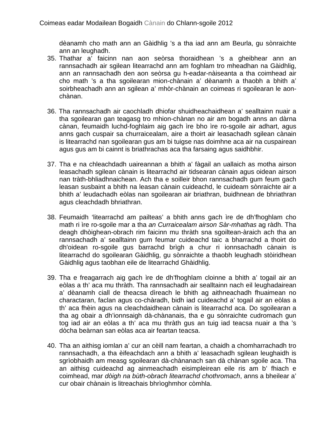dèanamh cho math ann an Gàidhlig 's a tha iad ann am Beurla, gu sònraichte ann an leughadh.

- 35. Thathar a' faicinn nan aon seòrsa thoraidhean 's a gheibhear ann an rannsachadh air sgilean litearrachd ann am foghlam tro mheadhan na Gàidhlig, ann an rannsachadh den aon seòrsa gu h-eadar-nàiseanta a tha coimhead air cho math 's a tha sgoilearan mion-chànain a' dèanamh a thaobh a bhith a' soirbheachadh ann an sgilean a' mhòr-chànain an coimeas ri sgoilearan le aonchànan.
- 36. Tha rannsachadh air caochladh dhiofar shuidheachaidhean a' sealltainn nuair a tha sgoilearan gan teagasg tro mhion-chànan no air am bogadh anns an dàrna cànan, feumaidh luchd-foghlaim aig gach ìre bho ìre ro-sgoile air adhart, agus anns gach cuspair sa churraicealam, aire a thoirt air leasachadh sgilean cànain is litearrachd nan sgoilearan gus am bi tuigse nas doimhne aca air na cuspairean agus gus am bi cainnt is briathrachas aca tha farsaing agus saidhbhir.
- 37. Tha e na chleachdadh uaireannan a bhith a' fàgail an uallaich as motha airson leasachadh sgilean cànain is litearrachd air tidsearan cànain agus oidean airson nan tràth-bhliadhnaichean. Ach tha e soilleir bhon rannsachadh gum feum gach leasan susbaint a bhith na leasan cànain cuideachd, le cuideam sònraichte air a bhith a' leudachadh eòlas nan sgoilearan air briathran, buidhnean de bhriathran agus cleachdadh bhriathran.
- 38. Feumaidh 'litearrachd am pailteas' a bhith anns gach ìre de dh'fhoghlam cho math ri ìre ro-sgoile mar a tha *an Curraicealam airson Sàr-mhathas* ag ràdh. Tha deagh dhòighean-obrach rim faicinn mu thràth sna sgoiltean-àraich ach tha an rannsachadh a' sealltainn gum feumar cuideachd taic a bharrachd a thoirt do dh'oidean ro-sgoile gus barrachd brìgh a chur ri ionnsachadh cànain is litearrachd do sgoilearan Gàidhlig, gu sònraichte a thaobh leughadh stòiridhean Gàidhlig agus taobhan eile de litearrachd Ghàidhlig.
- 39. Tha e freagarrach aig gach ìre de dh'fhoghlam cloinne a bhith a' togail air an eòlas a th' aca mu thràth. Tha rannsachadh air sealltainn nach eil leughadairean a' dèanamh ciall de theacsa dìreach le bhith ag aithneachadh fhuaimean no charactaran, faclan agus co-chàradh, bidh iad cuideachd a' togail air an eòlas a th' aca fhèin agus na cleachdaidhean cànain is litearrachd aca. Do sgoilearan a tha ag obair a dh'ionnsaigh dà-chànanais, tha e gu sònraichte cudromach gun tog iad air an eòlas a th' aca mu thràth gus an tuig iad teacsa nuair a tha 's dòcha beàrnan san eòlas aca air feartan teacsa.
- 40. Tha an aithisg iomlan a' cur an cèill nam feartan, a chaidh a chomharrachadh tro rannsachadh, a tha èifeachdach ann a bhith a' leasachadh sgilean leughaidh is sgrìobhaidh am measg sgoilearan dà-chànanach san dà chànan sgoile aca. Tha an aithisg cuideachd ag ainmeachadh eisimpleirean eile ris am b' fhiach e coimhead, mar *dòigh na bùth-obrach litearrachd chothromach*, anns a bheilear a' cur obair chànain is litreachais bhrìoghmhor còmhla.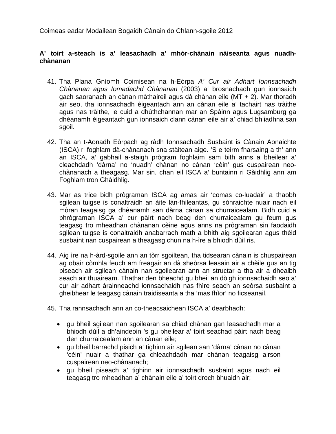Coimeas eadar Modailean Bogaidh Cànain do Chlann-sgoile 2012

# **A' toirt a-steach is a' leasachadh a' mhòr-chànain nàiseanta agus nuadhchànanan**

- 41. Tha Plana Gnìomh Coimisean na h-Eòrpa *A' Cur air Adhart Ionnsachadh Chànanan agus Iomadachd Chànanan* (2003) a' brosnachadh gun ionnsaich gach saoranach an cànan màthaireil agus dà chànan eile (MT + 2). Mar thoradh air seo, tha ionnsachadh èigeantach ann an cànan eile a' tachairt nas tràithe agus nas tràithe, le cuid a dhùthchannan mar an Spàinn agus Lugsamburg ga dhèanamh èigeantach gun ionnsaich clann cànan eile air a' chiad bhliadhna san sgoil.
- 42. Tha an t-Aonadh Eòrpach ag ràdh Ionnsachadh Susbaint is Cànain Aonaichte (ISCA) ri foghlam dà-chànanach sna stàitean aige. 'S e teirm fharsaing a th' ann an ISCA, a' gabhail a-staigh prògram foghlaim sam bith anns a bheilear a' cleachdadh 'dàrna' no 'nuadh' chànan no cànan 'cèin' gus cuspairean neochànanach a theagasg. Mar sin, chan eil ISCA a' buntainn ri Gàidhlig ann am Foghlam tron Ghàidhlig.
- 43. Mar as trice bidh prògraman ISCA ag amas air 'comas co-luadair' a thaobh sgilean tuigse is conaltraidh an àite làn-fhileantas, gu sònraichte nuair nach eil mòran teagaisg ga dhèanamh san dàrna cànan sa churraicealam. Bidh cuid a phrògraman ISCA a' cur pàirt nach beag den churraicealam gu feum gus teagasg tro mheadhan chànanan cèine agus anns na prògraman sin faodaidh sgilean tuigse is conaltraidh anabarrach math a bhith aig sgoilearan agus thèid susbaint nan cuspairean a theagasg chun na h-ìre a bhiodh dùil ris.
- 44. Aig ìre na h-àrd-sgoile ann an tòrr sgoiltean, tha tidsearan cànain is chuspairean ag obair còmhla feuch am freagair an dà sheòrsa leasain air a chèile gus an tig piseach air sgilean cànain nan sgoilearan ann an structar a tha air a dhealbh seach air thuaiream. Thathar den bheachd gu bheil an dòigh ionnsachaidh seo a' cur air adhart àrainneachd ionnsachaidh nas fhìre seach an seòrsa susbaint a gheibhear le teagasg cànain traidiseanta a tha 'mas fhìor' no ficseanail.
- 45. Tha rannsachadh ann an co-theacsaichean ISCA a' dearbhadh:
	- gu bheil sgilean nan sgoilearan sa chiad chànan gan leasachadh mar a bhiodh dùil a dh'aindeoin 's gu bheilear a' toirt seachad pàirt nach beag den churraicealam ann an cànan eile;
	- gu bheil barrachd pisich a' tighinn air sgilean san 'dàrna' cànan no cànan 'cèin' nuair a thathar ga chleachdadh mar chànan teagaisg airson cuspairean neo-chànanach;
	- gu bheil piseach a' tighinn air ionnsachadh susbaint agus nach eil teagasg tro mheadhan a' chànain eile a' toirt droch bhuaidh air;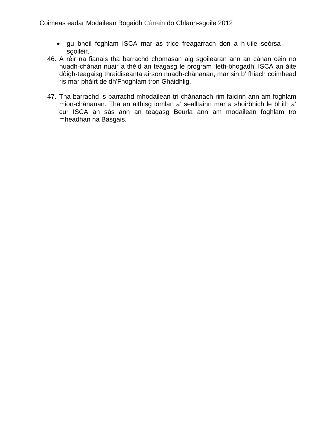- gu bheil foghlam ISCA mar as trice freagarrach don a h-uile seòrsa sgoileir.
- 46. A rèir na fianais tha barrachd chomasan aig sgoilearan ann an cànan cèin no nuadh-chànan nuair a thèid an teagasg le prògram 'leth-bhogadh' ISCA an àite dòigh-teagaisg thraidiseanta airson nuadh-chànanan, mar sin b' fhiach coimhead ris mar phàirt de dh'Fhoghlam tron Ghàidhlig.
- 47. Tha barrachd is barrachd mhodailean trì-chànanach rim faicinn ann am foghlam mion-chànanan. Tha an aithisg iomlan a' sealltainn mar a shoirbhich le bhith a' cur ISCA an sàs ann an teagasg Beurla ann am modailean foghlam tro mheadhan na Basgais.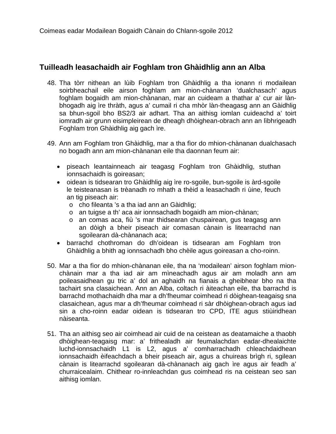# **Tuilleadh leasachaidh air Foghlam tron Ghàidhlig ann an Alba**

- 48. Tha tòrr nithean an lùib Foghlam tron Ghàidhlig a tha ionann ri modailean soirbheachail eile airson foghlam am mion-chànanan 'dualchasach' agus foghlam bogaidh am mion-chànanan, mar an cuideam a thathar a' cur air lànbhogadh aig ìre thràth, agus a' cumail ri cha mhòr làn-theagasg ann an Gàidhlig sa bhun-sgoil bho BS2/3 air adhart. Tha an aithisg iomlan cuideachd a' toirt iomradh air grunn eisimpleirean de dheagh dhòighean-obrach ann an lìbhrigeadh Foghlam tron Ghàidhlig aig gach ìre.
- 49. Ann am Foghlam tron Ghàidhlig, mar a tha fìor do mhion-chànanan dualchasach no bogadh ann am mion-chànanan eile tha daonnan feum air:
	- piseach leantainneach air teagasg Foghlam tron Ghàidhlig, stuthan ionnsachaidh is goireasan;
	- oidean is tidsearan tro Ghàidhlig aig ìre ro-sgoile, bun-sgoile is àrd-sgoile le teisteanasan is trèanadh ro mhath a thèid a leasachadh ri ùine, feuch an tig piseach air:
		- o cho fileanta 's a tha iad ann an Gàidhlig;
		- o an tuigse a th' aca air ionnsachadh bogaidh am mion-chànan;
		- o an comas aca, fiù 's mar thidsearan chuspairean, gus teagasg ann an dòigh a bheir piseach air comasan cànain is litearrachd nan sgoilearan dà-chànanach aca;
	- barrachd chothroman do dh'oidean is tidsearan am Foghlam tron Ghàidhlig a bhith ag ionnsachadh bho chèile agus goireasan a cho-roinn.
- 50. Mar a tha fìor do mhion-chànanan eile, tha na 'modailean' airson foghlam mionchànain mar a tha iad air am mìneachadh agus air am moladh ann am poileasaidhean gu tric a' dol an aghaidh na fianais a gheibhear bho na tha tachairt sna clasaichean. Ann an Alba, coltach ri àiteachan eile, tha barrachd is barrachd mothachaidh dha mar a dh'fheumar coimhead ri dòighean-teagaisg sna clasaichean, agus mar a dh'fheumar coimhead ri sàr dhòighean-obrach agus iad sin a cho-roinn eadar oidean is tidsearan tro CPD, ITE agus stiùiridhean nàiseanta.
- 51. Tha an aithisg seo air coimhead air cuid de na ceistean as deatamaiche a thaobh dhòighean-teagaisg mar: a' frithealadh air feumalachdan eadar-dhealaichte luchd-ionnsachaidh L1 is L2, agus a' comharrachadh chleachdaidhean ionnsachaidh èifeachdach a bheir piseach air, agus a chuireas brìgh ri, sgilean cànain is litearrachd sgoilearan dà-chànanach aig gach ìre agus air feadh a' churraicealaim. Chithear ro-innleachdan gus coimhead ris na ceistean seo san aithisg iomlan.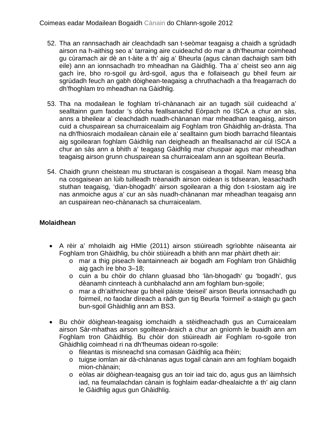- 52. Tha an rannsachadh air cleachdadh san t-seòmar teagaisg a chaidh a sgrùdadh airson na h-aithisg seo a' tarraing aire cuideachd do mar a dh'fheumar coimhead gu cùramach air dè an t-àite a th' aig a' Bheurla (agus cànan dachaigh sam bith eile) ann an ionnsachadh tro mheadhan na Gàidhlig. Tha a' cheist seo ann aig gach ìre, bho ro-sgoil gu àrd-sgoil, agus tha e follaiseach gu bheil feum air sgrùdadh feuch an gabh dòighean-teagaisg a chruthachadh a tha freagarrach do dh'fhoghlam tro mheadhan na Gàidhlig.
- 53. Tha na modailean le foghlam trì-chànanach air an tugadh sùil cuideachd a' sealltainn gum faodar 's dòcha feallsanachd Eòrpach no ISCA a chur an sàs, anns a bheilear a' cleachdadh nuadh-chànanan mar mheadhan teagaisg, airson cuid a chuspairean sa churraicealaim aig Foghlam tron Ghàidhlig an-dràsta. Tha na dh'fhiosraich modailean cànain eile a' sealltainn gum biodh barrachd fileantais aig sgoilearan foghlam Gàidhlig nan deigheadh an fheallsanachd air cùl ISCA a chur an sàs ann a bhith a' teagasg Gàidhlig mar chuspair agus mar mheadhan teagaisg airson grunn chuspairean sa churraicealam ann an sgoiltean Beurla.
- 54. Chaidh grunn cheistean mu structaran is cosgaisean a thogail. Nam measg bha na cosgaisean an lùib tuilleadh trèanaidh airson oidean is tidsearan, leasachadh stuthan teagaisg, 'dian-bhogadh' airson sgoilearan a thig don t-siostam aig ìre nas anmoiche agus a' cur an sàs nuadh-chànanan mar mheadhan teagaisg ann an cuspairean neo-chànanach sa churraicealam.

# **Molaidhean**

- A rèir a' mholaidh aig HMIe (2011) airson stiùireadh sgrìobhte nàiseanta air Foghlam tron Ghàidhlig, bu chòir stiùireadh a bhith ann mar phàirt dheth air:
	- o mar a thig piseach leantainneach air bogadh am Foghlam tron Ghàidhlig aig gach ìre bho 3–18;
	- o cuin a bu chòir do chlann gluasad bho 'làn-bhogadh' gu 'bogadh', gus dèanamh cinnteach à cunbhalachd ann am foghlam bun-sgoile;
	- o mar a dh'aithnichear gu bheil pàiste 'deiseil' airson Beurla ionnsachadh gu foirmeil, no faodar dìreach a ràdh gun tig Beurla 'foirmeil' a-staigh gu gach bun-sgoil Ghàidhlig ann am BS3.
- Bu chòir dòighean-teagaisg iomchaidh a stèidheachadh gus an Curraicealam airson Sàr-mhathas airson sgoiltean-àraich a chur an gnìomh le buaidh ann am Foghlam tron Ghàidhlig. Bu chòir don stiùireadh air Foghlam ro-sgoile tron Ghàidhlig coimhead ri na dh'fheumas oidean ro-sgoile:
	- o fileantas is misneachd sna comasan Gàidhlig aca fhèin;
	- o tuigse iomlan air dà-chànanas agus togail cànain ann am foghlam bogaidh mion-chànain;
	- o eòlas air dòighean-teagaisg gus an toir iad taic do, agus gus an làimhsich iad, na feumalachdan cànain is foghlaim eadar-dhealaichte a th' aig clann le Gàidhlig agus gun Ghàidhlig.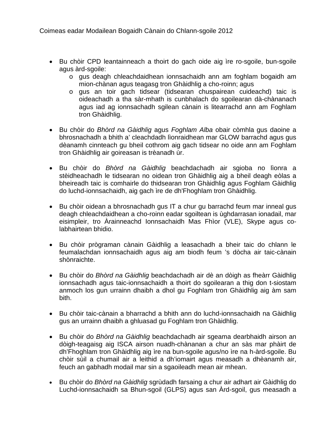- Bu chòir CPD leantainneach a thoirt do gach oide aig ìre ro-sgoile, bun-sgoile agus àrd-sgoile:
	- o gus deagh chleachdaidhean ionnsachaidh ann am foghlam bogaidh am mion-chànan agus teagasg tron Ghàidhlig a cho-roinn; agus
	- o gus an toir gach tidsear (tidsearan chuspairean cuideachd) taic is oideachadh a tha sàr-mhath is cunbhalach do sgoilearan dà-chànanach agus iad ag ionnsachadh sgilean cànain is litearrachd ann am Foghlam tron Ghàidhlig.
- Bu chòir do *Bhòrd na Gàidhlig* agus *Foghlam Alba* obair còmhla gus daoine a bhrosnachadh a bhith a' cleachdadh lìonraidhean mar GLOW barrachd agus gus dèanamh cinnteach gu bheil cothrom aig gach tidsear no oide ann am Foghlam tron Ghàidhlig air goireasan is trèanadh ùr.
- Bu chòir do *Bhòrd na Gàidhlig* beachdachadh air sgioba no lìonra a stèidheachadh le tidsearan no oidean tron Ghàidhlig aig a bheil deagh eòlas a bheireadh taic is comhairle do thidsearan tron Ghàidhlig agus Foghlam Gàidhlig do luchd-ionnsachaidh, aig gach ìre de dh'Fhoghlam tron Ghàidhlig.
- Bu chòir oidean a bhrosnachadh gus IT a chur gu barrachd feum mar inneal gus deagh chleachdaidhean a cho-roinn eadar sgoiltean is ùghdarrasan ionadail, mar eisimpleir, tro Àrainneachd Ionnsachaidh Mas Fhìor (VLE), Skype agus colabhairtean bhidio.
- Bu chòir prògraman cànain Gàidhlig a leasachadh a bheir taic do chlann le feumalachdan ionnsachaidh agus aig am biodh feum 's dòcha air taic-cànain shònraichte.
- Bu chòir do *Bhòrd na Gàidhlig* beachdachadh air dè an dòigh as fheàrr Gàidhlig ionnsachadh agus taic-ionnsachaidh a thoirt do sgoilearan a thig don t-siostam anmoch los gun urrainn dhaibh a dhol gu Foghlam tron Ghàidhlig aig àm sam bith.
- Bu chòir taic-cànain a bharrachd a bhith ann do luchd-ionnsachaidh na Gàidhlig gus an urrainn dhaibh a ghluasad gu Foghlam tron Ghàidhlig.
- Bu chòir do *Bhòrd na Gàidhlig* beachdachadh air sgeama dearbhaidh airson an dòigh-teagaisg aig ISCA airson nuadh-chànanan a chur an sàs mar phàirt de dh'Fhoghlam tron Ghàidhlig aig ìre na bun-sgoile agus/no ìre na h-àrd-sgoile. Bu chòir sùil a chumail air a leithid a dh'iomairt agus measadh a dhèanamh air, feuch an gabhadh modail mar sin a sgaoileadh mean air mhean.
- Bu chòir do *Bhòrd na Gàidhlig* sgrùdadh farsaing a chur air adhart air Gàidhlig do Luchd-ionnsachaidh sa Bhun-sgoil (GLPS) agus san Àrd-sgoil, gus measadh a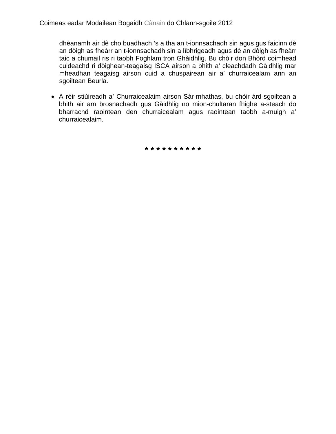dhèanamh air dè cho buadhach 's a tha an t-ionnsachadh sin agus gus faicinn dè an dòigh as fheàrr an t-ionnsachadh sin a lìbhrigeadh agus dè an dòigh as fheàrr taic a chumail ris ri taobh Foghlam tron Ghàidhlig. Bu chòir don Bhòrd coimhead cuideachd ri dòighean-teagaisg ISCA airson a bhith a' cleachdadh Gàidhlig mar mheadhan teagaisg airson cuid a chuspairean air a' churraicealam ann an sgoiltean Beurla.

• A rèir stiùireadh a' Churraicealaim airson Sàr-mhathas, bu chòir àrd-sgoiltean a bhith air am brosnachadh gus Gàidhlig no mion-chultaran fhighe a-steach do bharrachd raointean den churraicealam agus raointean taobh a-muigh a' churraicealaim.

**\* \* \* \* \* \* \* \* \* \***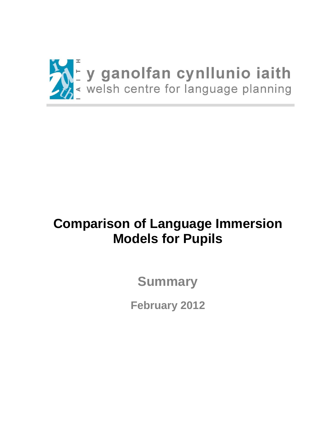

# **Comparison of Language Immersion Models for Pupils**

**Summary**

**February 2012**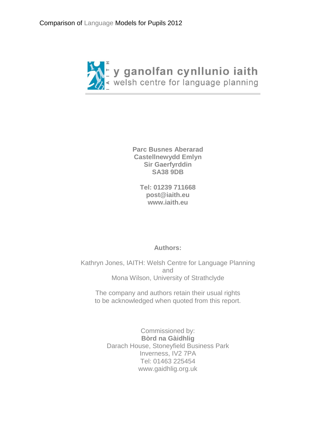

**Parc Busnes Aberarad Castellnewydd Emlyn Sir Gaerfyrddin SA38 9DB**

> **Tel: 01239 711668 [post@iaith.eu](mailto:post@iaith.eu) [www.iaith.eu](http://www.iaith.eu/)**

# **Authors:**

Kathryn Jones, IAITH: Welsh Centre for Language Planning and Mona Wilson, University of Strathclyde

The company and authors retain their usual rights to be acknowledged when quoted from this report.

Commissioned by: **Bòrd na Gàidhlig** Darach House, Stoneyfield Business Park Inverness, IV2 7PA Tel: 01463 225454 www.gaidhlig.org.uk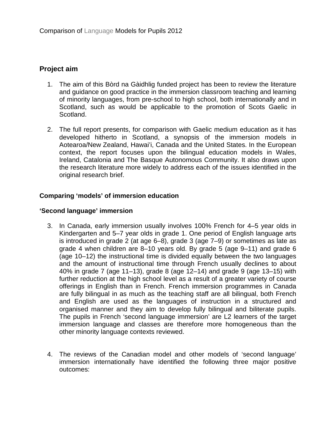# **Project aim**

- 1. The aim of this Bòrd na Gàidhlig funded project has been to review the literature and guidance on good practice in the immersion classroom teaching and learning of minority languages, from pre-school to high school, both internationally and in Scotland, such as would be applicable to the promotion of Scots Gaelic in Scotland.
- 2. The full report presents, for comparison with Gaelic medium education as it has developed hitherto in Scotland, a synopsis of the immersion models in Aotearoa/New Zealand, Hawai'i, Canada and the United States. In the European context, the report focuses upon the bilingual education models in Wales, Ireland, Catalonia and The Basque Autonomous Community. It also draws upon the research literature more widely to address each of the issues identified in the original research brief.

## **Comparing 'models' of immersion education**

#### **'Second language' immersion**

- 3. In Canada, early immersion usually involves 100% French for 4–5 year olds in Kindergarten and 5–7 year olds in grade 1. One period of English language arts is introduced in grade 2 (at age 6–8), grade 3 (age 7–9) or sometimes as late as grade 4 when children are 8–10 years old. By grade 5 (age 9–11) and grade 6 (age 10–12) the instructional time is divided equally between the two languages and the amount of instructional time through French usually declines to about 40% in grade 7 (age 11–13), grade 8 (age 12–14) and grade 9 (age 13–15) with further reduction at the high school level as a result of a greater variety of course offerings in English than in French. French immersion programmes in Canada are fully bilingual in as much as the teaching staff are all bilingual, both French and English are used as the languages of instruction in a structured and organised manner and they aim to develop fully bilingual and biliterate pupils. The pupils in French 'second language immersion' are L2 learners of the target immersion language and classes are therefore more homogeneous than the other minority language contexts reviewed.
- 4. The reviews of the Canadian model and other models of 'second language' immersion internationally have identified the following three major positive outcomes: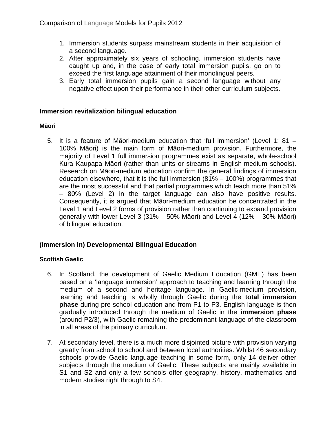- 1. Immersion students surpass mainstream students in their acquisition of a second language.
- 2. After approximately six years of schooling, immersion students have caught up and, in the case of early total immersion pupils, go on to exceed the first language attainment of their monolingual peers.
- 3. Early total immersion pupils gain a second language without any negative effect upon their performance in their other curriculum subjects.

## **Immersion revitalization bilingual education**

## **Māori**

5. It is a feature of Māori-medium education that 'full immersion' (Level 1: 81 – 100% Māori) is the main form of Māori-medium provision. Furthermore, the majority of Level 1 full immersion programmes exist as separate, whole-school Kura Kaupapa Māori (rather than units or streams in English-medium schools). Research on Māori-medium education confirm the general findings of immersion education elsewhere, that it is the full immersion (81% – 100%) programmes that are the most successful and that partial programmes which teach more than 51% – 80% (Level 2) in the target language can also have positive results. Consequently, it is argued that Māori-medium education be concentrated in the Level 1 and Level 2 forms of provision rather than continuing to expand provision generally with lower Level 3 (31% – 50% Māori) and Level 4 (12% – 30% Māori) of bilingual education.

# **(Immersion in) Developmental Bilingual Education**

# **Scottish Gaelic**

- 6. In Scotland, the development of Gaelic Medium Education (GME) has been based on a 'language immersion' approach to teaching and learning through the medium of a second and heritage language. In Gaelic-medium provision, learning and teaching is wholly through Gaelic during the **total immersion phase** during pre-school education and from P1 to P3. English language is then gradually introduced through the medium of Gaelic in the **immersion phase**  (around P2/3), with Gaelic remaining the predominant language of the classroom in all areas of the primary curriculum.
- 7. At secondary level, there is a much more disjointed picture with provision varying greatly from school to school and between local authorities. Whilst 46 secondary schools provide Gaelic language teaching in some form, only 14 deliver other subjects through the medium of Gaelic. These subjects are mainly available in S1 and S2 and only a few schools offer geography, history, mathematics and modern studies right through to S4.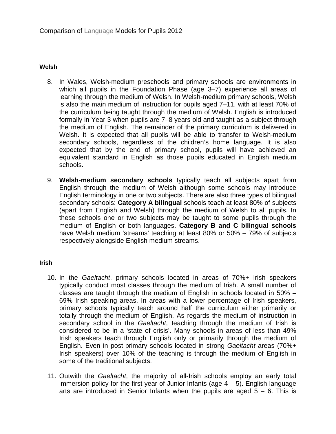#### **Welsh**

- 8. In Wales, Welsh-medium preschools and primary schools are environments in which all pupils in the Foundation Phase (age 3–7) experience all areas of learning through the medium of Welsh. In Welsh-medium primary schools, Welsh is also the main medium of instruction for pupils aged 7–11, with at least 70% of the curriculum being taught through the medium of Welsh. English is introduced formally in Year 3 when pupils are 7–8 years old and taught as a subject through the medium of English. The remainder of the primary curriculum is delivered in Welsh. It is expected that all pupils will be able to transfer to Welsh-medium secondary schools, regardless of the children's home language. It is also expected that by the end of primary school, pupils will have achieved an equivalent standard in English as those pupils educated in English medium schools.
- 9. **Welsh-medium secondary schools** typically teach all subjects apart from English through the medium of Welsh although some schools may introduce English terminology in one or two subjects. There are also three types of bilingual secondary schools: **Category A bilingual** schools teach at least 80% of subjects (apart from English and Welsh) through the medium of Welsh to all pupils. In these schools one or two subjects may be taught to some pupils through the medium of English or both languages. **Category B and C bilingual schools** have Welsh medium 'streams' teaching at least 80% or 50% – 79% of subjects respectively alongside English medium streams.

#### **Irish**

- 10. In the *Gaeltacht*, primary schools located in areas of 70%+ Irish speakers typically conduct most classes through the medium of Irish. A small number of classes are taught through the medium of English in schools located in 50% – 69% Irish speaking areas. In areas with a lower percentage of Irish speakers, primary schools typically teach around half the curriculum either primarily or totally through the medium of English. As regards the medium of instruction in secondary school in the *Gaeltacht*, teaching through the medium of Irish is considered to be in a 'state of crisis'. Many schools in areas of less than 49% Irish speakers teach through English only or primarily through the medium of English. Even in post-primary schools located in strong *Gaeltacht* areas (70%+ Irish speakers) over 10% of the teaching is through the medium of English in some of the traditional subjects.
- 11. Outwith the *Gaeltacht*, the majority of all-Irish schools employ an early total immersion policy for the first year of Junior Infants (age  $4 - 5$ ). English language arts are introduced in Senior Infants when the pupils are aged  $5 - 6$ . This is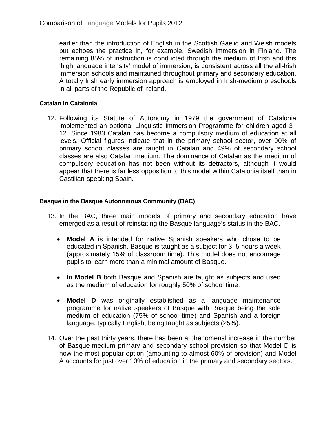earlier than the introduction of English in the Scottish Gaelic and Welsh models but echoes the practice in, for example, Swedish immersion in Finland. The remaining 85% of instruction is conducted through the medium of Irish and this 'high language intensity' model of immersion, is consistent across all the all-Irish immersion schools and maintained throughout primary and secondary education. A totally Irish early immersion approach is employed in Irish-medium preschools in all parts of the Republic of Ireland.

## **Catalan in Catalonia**

12. Following its Statute of Autonomy in 1979 the government of Catalonia implemented an optional Linguistic Immersion Programme for children aged 3– 12. Since 1983 Catalan has become a compulsory medium of education at all levels. Official figures indicate that in the primary school sector, over 90% of primary school classes are taught in Catalan and 49% of secondary school classes are also Catalan medium. The dominance of Catalan as the medium of compulsory education has not been without its detractors, although it would appear that there is far less opposition to this model within Catalonia itself than in Castilian-speaking Spain.

## **Basque in the Basque Autonomous Community (BAC)**

- 13. In the BAC, three main models of primary and secondary education have emerged as a result of reinstating the Basque language's status in the BAC.
	- **Model A** is intended for native Spanish speakers who chose to be educated in Spanish. Basque is taught as a subject for 3–5 hours a week (approximately 15% of classroom time). This model does not encourage pupils to learn more than a minimal amount of Basque.
	- In **Model B** both Basque and Spanish are taught as subjects and used as the medium of education for roughly 50% of school time.
	- **Model D** was originally established as a language maintenance programme for native speakers of Basque with Basque being the sole medium of education (75% of school time) and Spanish and a foreign language, typically English, being taught as subjects (25%).
- 14. Over the past thirty years, there has been a phenomenal increase in the number of Basque-medium primary and secondary school provision so that Model D is now the most popular option (amounting to almost 60% of provision) and Model A accounts for just over 10% of education in the primary and secondary sectors.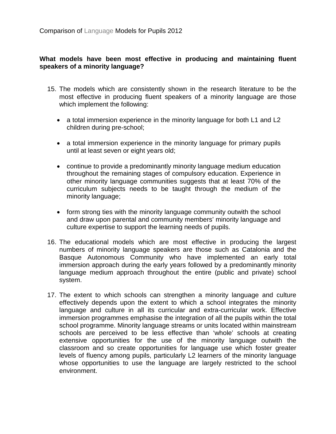# **What models have been most effective in producing and maintaining fluent speakers of a minority language?**

- 15. The models which are consistently shown in the research literature to be the most effective in producing fluent speakers of a minority language are those which implement the following:
	- a total immersion experience in the minority language for both L1 and L2 children during pre-school;
	- a total immersion experience in the minority language for primary pupils until at least seven or eight years old;
	- continue to provide a predominantly minority language medium education throughout the remaining stages of compulsory education. Experience in other minority language communities suggests that at least 70% of the curriculum subjects needs to be taught through the medium of the minority language;
	- form strong ties with the minority language community outwith the school and draw upon parental and community members' minority language and culture expertise to support the learning needs of pupils.
- 16. The educational models which are most effective in producing the largest numbers of minority language speakers are those such as Catalonia and the Basque Autonomous Community who have implemented an early total immersion approach during the early years followed by a predominantly minority language medium approach throughout the entire (public and private) school system.
- 17. The extent to which schools can strengthen a minority language and culture effectively depends upon the extent to which a school integrates the minority language and culture in all its curricular and extra-curricular work. Effective immersion programmes emphasise the integration of all the pupils within the total school programme. Minority language streams or units located within mainstream schools are perceived to be less effective than 'whole' schools at creating extensive opportunities for the use of the minority language outwith the classroom and so create opportunities for language use which foster greater levels of fluency among pupils, particularly L2 learners of the minority language whose opportunities to use the language are largely restricted to the school environment.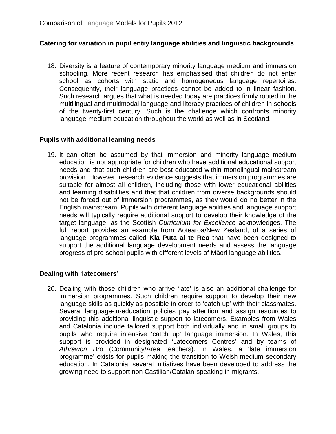# **Catering for variation in pupil entry language abilities and linguistic backgrounds**

18. Diversity is a feature of contemporary minority language medium and immersion schooling. More recent research has emphasised that children do not enter school as cohorts with static and homogeneous language repertoires. Consequently, their language practices cannot be added to in linear fashion. Such research argues that what is needed today are practices firmly rooted in the multilingual and multimodal language and literacy practices of children in schools of the twenty-first century. Such is the challenge which confronts minority language medium education throughout the world as well as in Scotland.

# **Pupils with additional learning needs**

19. It can often be assumed by that immersion and minority language medium education is not appropriate for children who have additional educational support needs and that such children are best educated within monolingual mainstream provision. However, research evidence suggests that immersion programmes are suitable for almost all children, including those with lower educational abilities and learning disabilities and that that children from diverse backgrounds should not be forced out of immersion programmes, as they would do no better in the English mainstream. Pupils with different language abilities and language support needs will typically require additional support to develop their knowledge of the target language, as the Scottish *Curriculum for Excellence* acknowledges. The full report provides an example from Aotearoa/New Zealand, of a series of language programmes called **Kia Puta ai te Reo** that have been designed to support the additional language development needs and assess the language progress of pre-school pupils with different levels of Māori language abilities.

# **Dealing with 'latecomers'**

20. Dealing with those children who arrive 'late' is also an additional challenge for immersion programmes. Such children require support to develop their new language skills as quickly as possible in order to 'catch up' with their classmates. Several language-in-education policies pay attention and assign resources to providing this additional linguistic support to latecomers. Examples from Wales and Catalonia include tailored support both individually and in small groups to pupils who require intensive 'catch up' language immersion. In Wales, this support is provided in designated 'Latecomers Centres' and by teams of *Athrawon Bro* (Community/Area teachers). In Wales, a 'late immersion programme' exists for pupils making the transition to Welsh-medium secondary education. In Catalonia, several initiatives have been developed to address the growing need to support non Castilian/Catalan-speaking in-migrants.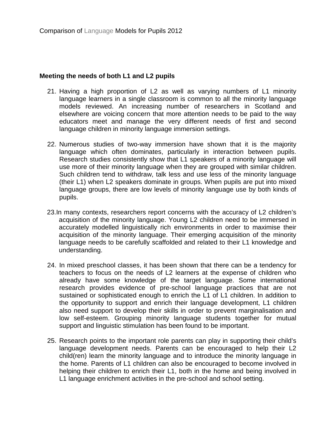#### **Meeting the needs of both L1 and L2 pupils**

- 21. Having a high proportion of L2 as well as varying numbers of L1 minority language learners in a single classroom is common to all the minority language models reviewed. An increasing number of researchers in Scotland and elsewhere are voicing concern that more attention needs to be paid to the way educators meet and manage the very different needs of first and second language children in minority language immersion settings.
- 22. Numerous studies of two-way immersion have shown that it is the majority language which often dominates, particularly in interaction between pupils. Research studies consistently show that L1 speakers of a minority language will use more of their minority language when they are grouped with similar children. Such children tend to withdraw, talk less and use less of the minority language (their L1) when L2 speakers dominate in groups. When pupils are put into mixed language groups, there are low levels of minority language use by both kinds of pupils.
- 23.In many contexts, researchers report concerns with the accuracy of L2 children's acquisition of the minority language. Young L2 children need to be immersed in accurately modelled linguistically rich environments in order to maximise their acquisition of the minority language. Their emerging acquisition of the minority language needs to be carefully scaffolded and related to their L1 knowledge and understanding.
- 24. In mixed preschool classes, it has been shown that there can be a tendency for teachers to focus on the needs of L2 learners at the expense of children who already have some knowledge of the target language. Some international research provides evidence of pre-school language practices that are not sustained or sophisticated enough to enrich the L1 of L1 children. In addition to the opportunity to support and enrich their language development, L1 children also need support to develop their skills in order to prevent marginalisation and low self-esteem. Grouping minority language students together for mutual support and linguistic stimulation has been found to be important.
- 25. Research points to the important role parents can play in supporting their child's language development needs. Parents can be encouraged to help their L2 child(ren) learn the minority language and to introduce the minority language in the home. Parents of L1 children can also be encouraged to become involved in helping their children to enrich their L1, both in the home and being involved in L1 language enrichment activities in the pre-school and school setting.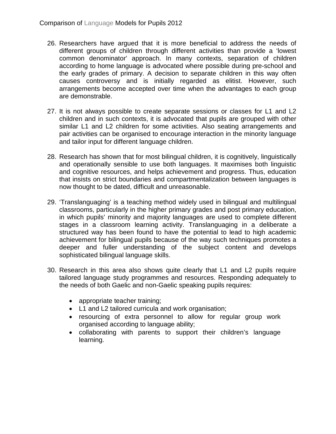- 26. Researchers have argued that it is more beneficial to address the needs of different groups of children through different activities than provide a 'lowest common denominator' approach. In many contexts, separation of children according to home language is advocated where possible during pre-school and the early grades of primary. A decision to separate children in this way often causes controversy and is initially regarded as elitist. However, such arrangements become accepted over time when the advantages to each group are demonstrable.
- 27. It is not always possible to create separate sessions or classes for L1 and L2 children and in such contexts, it is advocated that pupils are grouped with other similar L1 and L2 children for some activities. Also seating arrangements and pair activities can be organised to encourage interaction in the minority language and tailor input for different language children.
- 28. Research has shown that for most bilingual children, it is cognitively, linguistically and operationally sensible to use both languages. It maximises both linguistic and cognitive resources, and helps achievement and progress. Thus, education that insists on strict boundaries and compartmentalization between languages is now thought to be dated, difficult and unreasonable.
- 29. 'Translanguaging' is a teaching method widely used in bilingual and multilingual classrooms, particularly in the higher primary grades and post primary education, in which pupils' minority and majority languages are used to complete different stages in a classroom learning activity. Translanguaging in a deliberate a structured way has been found to have the potential to lead to high academic achievement for bilingual pupils because of the way such techniques promotes a deeper and fuller understanding of the subject content and develops sophisticated bilingual language skills.
- 30. Research in this area also shows quite clearly that L1 and L2 pupils require tailored language study programmes and resources. Responding adequately to the needs of both Gaelic and non-Gaelic speaking pupils requires:
	- appropriate teacher training;
	- L1 and L2 tailored curricula and work organisation;
	- resourcing of extra personnel to allow for regular group work organised according to language ability;
	- collaborating with parents to support their children's language learning.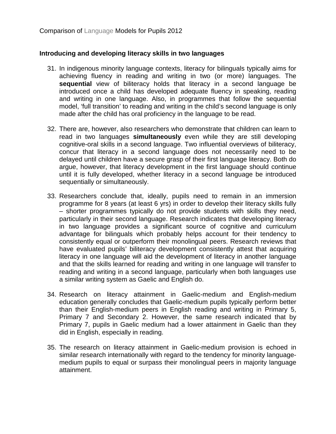## **Introducing and developing literacy skills in two languages**

- 31. In indigenous minority language contexts, literacy for bilinguals typically aims for achieving fluency in reading and writing in two (or more) languages. The **sequential** view of biliteracy holds that literacy in a second language be introduced once a child has developed adequate fluency in speaking, reading and writing in one language. Also, in programmes that follow the sequential model, 'full transition' to reading and writing in the child's second language is only made after the child has oral proficiency in the language to be read.
- 32. There are, however, also researchers who demonstrate that children can learn to read in two languages **simultaneously** even while they are still developing cognitive-oral skills in a second language. Two influential overviews of biliteracy, concur that literacy in a second language does not necessarily need to be delayed until children have a secure grasp of their first language literacy. Both do argue, however, that literacy development in the first language should continue until it is fully developed, whether literacy in a second language be introduced sequentially or simultaneously.
- 33. Researchers conclude that, ideally, pupils need to remain in an immersion programme for 8 years (at least 6 yrs) in order to develop their literacy skills fully – shorter programmes typically do not provide students with skills they need, particularly in their second language. Research indicates that developing literacy in two language provides a significant source of cognitive and curriculum advantage for bilinguals which probably helps account for their tendency to consistently equal or outperform their monolingual peers. Research reviews that have evaluated pupils' biliteracy development consistently attest that acquiring literacy in one language will aid the development of literacy in another language and that the skills learned for reading and writing in one language will transfer to reading and writing in a second language, particularly when both languages use a similar writing system as Gaelic and English do.
- 34. Research on literacy attainment in Gaelic-medium and English-medium education generally concludes that Gaelic-medium pupils typically perform better than their English-medium peers in English reading and writing in Primary 5, Primary 7 and Secondary 2. However, the same research indicated that by Primary 7, pupils in Gaelic medium had a lower attainment in Gaelic than they did in English, especially in reading.
- 35. The research on literacy attainment in Gaelic-medium provision is echoed in similar research internationally with regard to the tendency for minority languagemedium pupils to equal or surpass their monolingual peers in majority language attainment.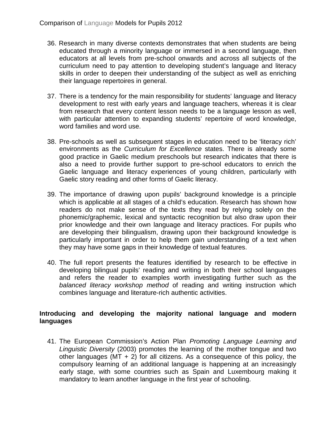- 36. Research in many diverse contexts demonstrates that when students are being educated through a minority language or immersed in a second language, then educators at all levels from pre-school onwards and across all subjects of the curriculum need to pay attention to developing student's language and literacy skills in order to deepen their understanding of the subject as well as enriching their language repertoires in general.
- 37. There is a tendency for the main responsibility for students' language and literacy development to rest with early years and language teachers, whereas it is clear from research that every content lesson needs to be a language lesson as well, with particular attention to expanding students' repertoire of word knowledge, word families and word use.
- 38. Pre-schools as well as subsequent stages in education need to be 'literacy rich' environments as the *Curriculum for Excellence* states. There is already some good practice in Gaelic medium preschools but research indicates that there is also a need to provide further support to pre-school educators to enrich the Gaelic language and literacy experiences of young children, particularly with Gaelic story reading and other forms of Gaelic literacy.
- 39. The importance of drawing upon pupils' background knowledge is a principle which is applicable at all stages of a child's education. Research has shown how readers do not make sense of the texts they read by relying solely on the phonemic/graphemic, lexical and syntactic recognition but also draw upon their prior knowledge and their own language and literacy practices. For pupils who are developing their bilingualism, drawing upon their background knowledge is particularly important in order to help them gain understanding of a text when they may have some gaps in their knowledge of textual features.
- 40. The full report presents the features identified by research to be effective in developing bilingual pupils' reading and writing in both their school languages and refers the reader to examples worth investigating further such as the *balanced literacy workshop method* of reading and writing instruction which combines language and literature-rich authentic activities.

# **Introducing and developing the majority national language and modern languages**

41. The European Commission's Action Plan *Promoting Language Learning and Linguistic Diversity* (2003) promotes the learning of the mother tongue and two other languages (MT  $+$  2) for all citizens. As a consequence of this policy, the compulsory learning of an additional language is happening at an increasingly early stage, with some countries such as Spain and Luxembourg making it mandatory to learn another language in the first year of schooling.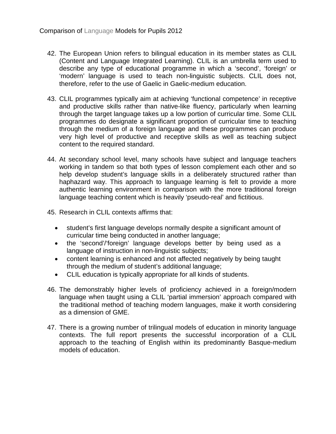- 42. The European Union refers to bilingual education in its member states as CLIL (Content and Language Integrated Learning). CLIL is an umbrella term used to describe any type of educational programme in which a 'second', 'foreign' or 'modern' language is used to teach non-linguistic subjects. CLIL does not, therefore, refer to the use of Gaelic in Gaelic-medium education.
- 43. CLIL programmes typically aim at achieving 'functional competence' in receptive and productive skills rather than native-like fluency, particularly when learning through the target language takes up a low portion of curricular time. Some CLIL programmes do designate a significant proportion of curricular time to teaching through the medium of a foreign language and these programmes can produce very high level of productive and receptive skills as well as teaching subject content to the required standard.
- 44. At secondary school level, many schools have subject and language teachers working in tandem so that both types of lesson complement each other and so help develop student's language skills in a deliberately structured rather than haphazard way. This approach to language learning is felt to provide a more authentic learning environment in comparison with the more traditional foreign language teaching content which is heavily 'pseudo-real' and fictitious.
- 45. Research in CLIL contexts affirms that:
	- student's first language develops normally despite a significant amount of curricular time being conducted in another language;
	- the 'second'/'foreign' language develops better by being used as a language of instruction in non-linguistic subjects;
	- content learning is enhanced and not affected negatively by being taught through the medium of student's additional language;
	- CLIL education is typically appropriate for all kinds of students.
- 46. The demonstrably higher levels of proficiency achieved in a foreign/modern language when taught using a CLIL 'partial immersion' approach compared with the traditional method of teaching modern languages, make it worth considering as a dimension of GME.
- 47. There is a growing number of trilingual models of education in minority language contexts. The full report presents the successful incorporation of a CLIL approach to the teaching of English within its predominantly Basque-medium models of education.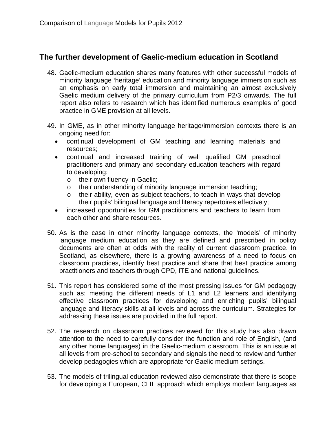# **The further development of Gaelic-medium education in Scotland**

- 48. Gaelic-medium education shares many features with other successful models of minority language 'heritage' education and minority language immersion such as an emphasis on early total immersion and maintaining an almost exclusively Gaelic medium delivery of the primary curriculum from P2/3 onwards. The full report also refers to research which has identified numerous examples of good practice in GME provision at all levels.
- 49. In GME, as in other minority language heritage/immersion contexts there is an ongoing need for:
	- continual development of GM teaching and learning materials and resources;
	- continual and increased training of well qualified GM preschool practitioners and primary and secondary education teachers with regard to developing:
		- o their own fluency in Gaelic;
		- o their understanding of minority language immersion teaching;<br>o their ability, even as subiect teachers, to teach in ways that o
		- their ability, even as subject teachers, to teach in ways that develop their pupils' bilingual language and literacy repertoires effectively;
	- increased opportunities for GM practitioners and teachers to learn from each other and share resources.
- 50. As is the case in other minority language contexts, the 'models' of minority language medium education as they are defined and prescribed in policy documents are often at odds with the reality of current classroom practice. In Scotland, as elsewhere, there is a growing awareness of a need to focus on classroom practices, identify best practice and share that best practice among practitioners and teachers through CPD, ITE and national guidelines.
- 51. This report has considered some of the most pressing issues for GM pedagogy such as: meeting the different needs of L1 and L2 learners and identifying effective classroom practices for developing and enriching pupils' bilingual language and literacy skills at all levels and across the curriculum. Strategies for addressing these issues are provided in the full report.
- 52. The research on classroom practices reviewed for this study has also drawn attention to the need to carefully consider the function and role of English, (and any other home languages) in the Gaelic-medium classroom. This is an issue at all levels from pre-school to secondary and signals the need to review and further develop pedagogies which are appropriate for Gaelic medium settings.
- 53. The models of trilingual education reviewed also demonstrate that there is scope for developing a European, CLIL approach which employs modern languages as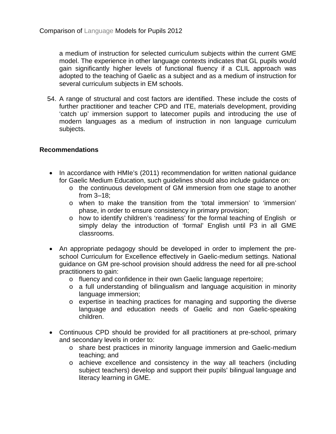a medium of instruction for selected curriculum subjects within the current GME model. The experience in other language contexts indicates that GL pupils would gain significantly higher levels of functional fluency if a CLIL approach was adopted to the teaching of Gaelic as a subject and as a medium of instruction for several curriculum subjects in EM schools.

54. A range of structural and cost factors are identified. These include the costs of further practitioner and teacher CPD and ITE, materials development, providing 'catch up' immersion support to latecomer pupils and introducing the use of modern languages as a medium of instruction in non language curriculum subjects.

# **Recommendations**

- In accordance with HMIe's (2011) recommendation for written national quidance for Gaelic Medium Education, such guidelines should also include guidance on:
	- o the continuous development of GM immersion from one stage to another from 3–18;
	- o when to make the transition from the 'total immersion' to 'immersion' phase, in order to ensure consistency in primary provision;
	- o how to identify children's 'readiness' for the formal teaching of English or simply delay the introduction of 'formal' English until P3 in all GME classrooms.
- An appropriate pedagogy should be developed in order to implement the preschool Curriculum for Excellence effectively in Gaelic-medium settings. National guidance on GM pre-school provision should address the need for all pre-school practitioners to gain:
	- o fluency and confidence in their own Gaelic language repertoire;
	- o a full understanding of bilingualism and language acquisition in minority language immersion;
	- $\circ$  expertise in teaching practices for managing and supporting the diverse language and education needs of Gaelic and non Gaelic-speaking children.
- Continuous CPD should be provided for all practitioners at pre-school, primary and secondary levels in order to:
	- o share best practices in minority language immersion and Gaelic-medium teaching; and
	- o achieve excellence and consistency in the way all teachers (including subject teachers) develop and support their pupils' bilingual language and literacy learning in GME.